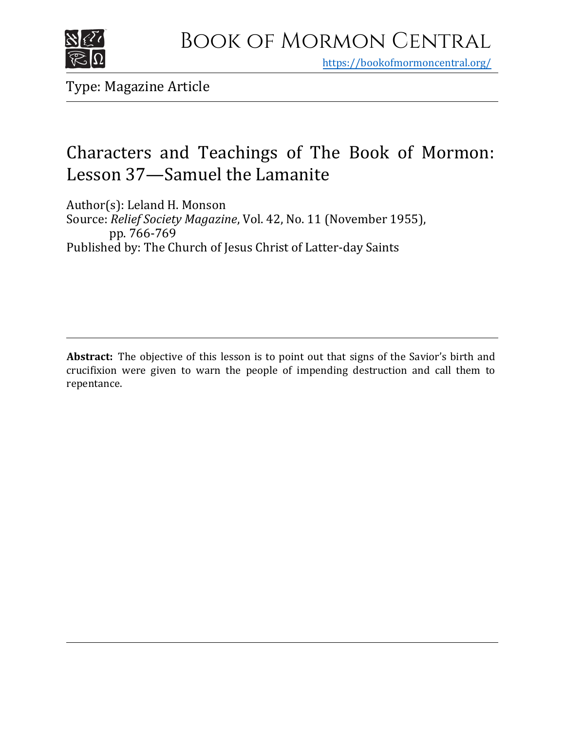

https[://bookofmormoncentral.org/](http://bookofmormoncentral.org/)

Type: Magazine Article

# Characters and Teachings of The Book of Mormon: Lesson 37—Samuel the Lamanite

Author(s): Leland H. Monson Source: *Relief Society Magazine*, Vol. 42, No. 11 (November 1955), pp. 766-769 Published by: The Church of Jesus Christ of Latter-day Saints

**Abstract:** The objective of this lesson is to point out that signs of the Savior's birth and crucifixion were given to warn the people of impending destruction and call them to repentance.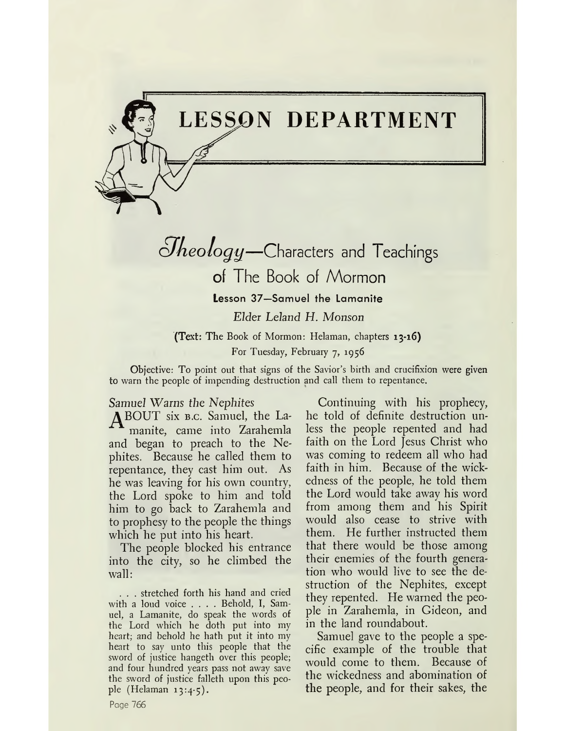# **LESSON DEPARTMENT**

 $S$ *heology*—Characters and Teachings of The Book of Mormon

**Lesson 37—Samuel the Lamanite**

Elder Leland H. Monson

**(Text:** The Book of Mormon: Helaman, chapters **13-16)** For Tuesday, February 7, 1956

Objective: To point out that signs of the Savior'<sup>s</sup> birth and crucifixion were given to warn the people of impending destruction and call them to repentance.

Samuel Warns *the Nephites*

^JBOUT six b.c. Samuel, the Lamanite, came into Zarahemla and began to preach to the Nephites. Because he called them to repentance, they cast him out. As he was leaving for his own country, the Lord spoke to him and told him to go back to Zarahemla and to prophesy to the people the things which he put into his heart.

The people blocked his entrance into the city, so he climbed the wall:

. . . stretched forth his hand and cried with <sup>a</sup> loud voice .... Behold, I, Samuel, a Lamanite, do speak the words of the Lord which he doth put into my heart; and behold he hath put it into my heart to say unto this people that the sword of justice hangeth over this people; and four hundred years pass not away save the sword of justice falleth upon this people (Helaman 13:4-5).

Continuing with his prophecy, he told of definite destruction unless the people repented and had faith on the Lord Jesus Christ who was coming to redeem all who had faith in him. Because of the wickedness of the people, he told them the Lord would take away his word from among them and his Spirit would also cease to strive with them. He further instructed them that there would be those among their enemies of the fourth generation who would live to see the destruction of the Nephites, except they repented. He warned the people in Zarahemla, in Gideon, and in the land roundabout.

Samuel gave to the people a specific example of the trouble that would come to them. Because of the wickedness and abomination of the people, and for their sakes, the

Page 766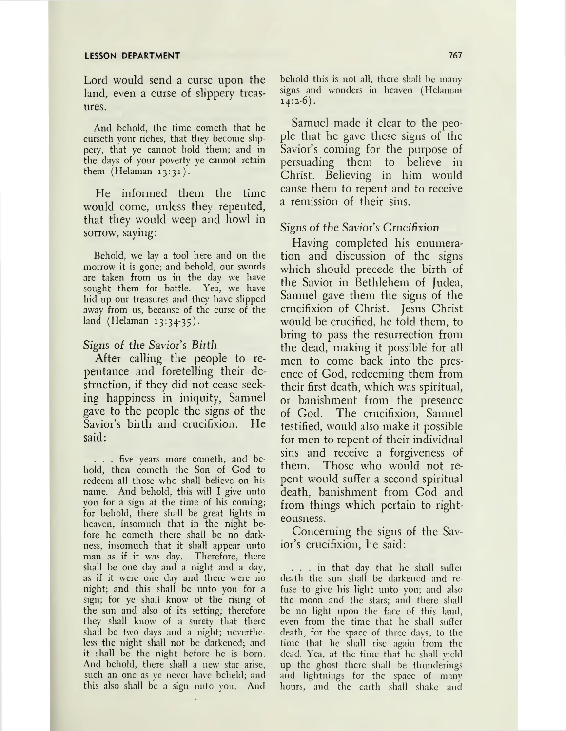Lord would send a curse upon the land, even a curse of slippery treasures.

And behold, the time cometh that he curseth your riches, that they become slippery, that ye cannot hold them; and in the days of your poverty ye cannot retain them (Helaman 13:31).

He informed them the time would come, unless they repented, that they would weep and howl in sorrow, saying:

Behold, we lay a tool here and on the morrow it is gone; and behold, our swords are taken from us in the day we have sought them for battle. Yea, we have hid up our treasures and they have slipped away from us, because of the curse of the land (Helaman 13:34-35).

#### *Signs of the Savior's Birth*

After calling the people to repentance and foretelling their destruction, if they did not cease seeking happiness in iniquity, Samuel gave to the people the signs of the Savior's birth and crucifixion. He said:

. . . five years more cometh, and behold, then cometh the Son of God to redeem all those who shall believe on his name. And behold, this will I give unto you for a sign at the time of his coming; for behold, there shall be great lights in heaven, insomuch that in the night before he cometh there shall be no darkness, insomuch that it shall appear unto man as if it was day. Therefore, there shall be one day and a night and a day, as if it were one day and there were no night; and this shall be unto you for a sign; for ye shall know of the rising of the sun and also of its setting; therefore they shall know of a surety that there shall be two days and a night; nevertheless the night shall not be darkened; and it shall be the night before he is born. And behold, there shall a new star arise, such an one as ye never have beheld; and this also shall be a sign unto you. And

behold this is not all, there shall be many signs and wonders in heaven (Helaman 14:2-6).

Samuel made it clear to the people that he gave these signs of the Savior's coming for the purpose of persuading them to believe in Christ. Believing in him would cause them to repent and to receive a remission of their sins.

### Signs of *the Savior's Crucifixion*

Having completed his enumeration and discussion of the signs which should precede the birth of the Savior in Bethlehem of Judea, Samuel gave them the signs of the crucifixion of Christ. Jesus Christ would be crucified, he told them, to bring to pass the resurrection from the dead, making it possible for all men to come back into the presence of God, redeeming them from their first death, which was spiritual, or banishment from the presence of God. The crucifixion, Samuel testified, would also make it possible for men to repent of their individual sins and receive a forgiveness of them. Those who would not repent would suffer a second spiritual death, banishment from God and from things which pertain to righteousness.

Concerning the signs of the Savior's crucifixion, he said:

... in that day that he shall suffer death the sun shall be darkened and refuse to give his light unto you; and also the moon and the stars; and there shall be no light upon the face of this land, even from the time that he shall suffer death, for the space of three days, to the time that he shall rise again from the dead. Yea, at the time that he shall yield up the ghost there shall be thunderings and lightnings for the space of many hours, and the earth shall shake and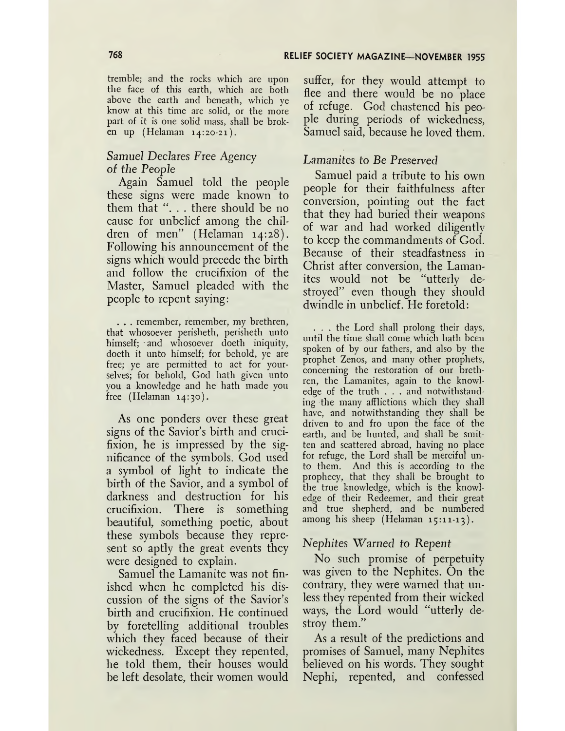tremble; and the rocks which are upon the face of this earth, which are both above the earth and beneath, which ye know at this time are solid, or the more part of it is one solid mass, shall be broken up (Helaman 14:20-21).

### *Samuel Declares Free Agency of the People*

Again Samuel told the people these signs were made known to them that ". . . there should be no cause for unbelief among the children of men" (Helaman 14:28). Following his announcement of the signs which would precede the birth and follow the crucifixion of the Master, Samuel pleaded with the people to repent saying:

. . . remember, remember, my brethren, that whosoever perisheth, perisheth unto himself; and whosoever doeth iniquity, doeth it unto himself; for behold, ye are free; ye are permitted to act for yourselves; for behold, God hath given unto you a knowledge and he hath made you free (Helaman 14:30).

As one ponders over these great signs of the Savior'<sup>s</sup> birth and crucifixion, he is impressed by the significance of the symbols. God used a symbol of light to indicate the birth of the Savior, and a symbol of darkness and destruction for his crucifixion. There is something beautiful, something poetic, about these symbols because they represent so aptly the great events they were designed to explain.

Samuel the Lamanite was not finished when he completed his discussion of the signs of the Savior'<sup>s</sup> birth and crucifixion. He continued by foretelling additional troubles which they faced because of their wickedness. Except they repented, he told them, their houses would be left desolate, their women would

suffer, for they would attempt to flee and there would be no place of refuge. God chastened his people during periods of wickedness, Samuel said, because he loved them.

#### *Lamanites to Be Preserved*

Samuel paid a tribute to his own people for their faithfulness after conversion, pointing out the fact that they had buried their weapons of war and had worked diligently to keep the commandments of God. Because of their steadfastness in Christ after conversion, the Lamanites would not be "utterly destroyed" even though they should dwindle in unbelief. He foretold:

. . . the Lord shall prolong their days, until the time shall come which hath been spoken of by our fathers, and also by the prophet Zenos, and many other prophets, concerning the restoration of our brethren, the Lamanites, again to the knowledge of the truth . . . and notwithstanding the many afflictions which they shall have, and notwithstanding they shall be driven to and fro upon the face of the earth, and be hunted, and shall be smitten and scattered abroad, having no place for refuge, the Lord shall be merciful unto them. And this is according to the prophecy, that they shall be brought to the true knowledge, which is the knowledge of their Redeemer, and their great and true shepherd, and be numbered among his sheep (Helaman 15:11-13).

#### *Nephites Warned to Repent*

No such promise of perpetuity was given to the Nephites. On the contrary, they were warned that unless they repented from their wicked ways, the Lord would "utterly destroy them."

As a result of the predictions and promises of Samuel, many Nephites believed on his words. They sought Nephi, repented, and confessed